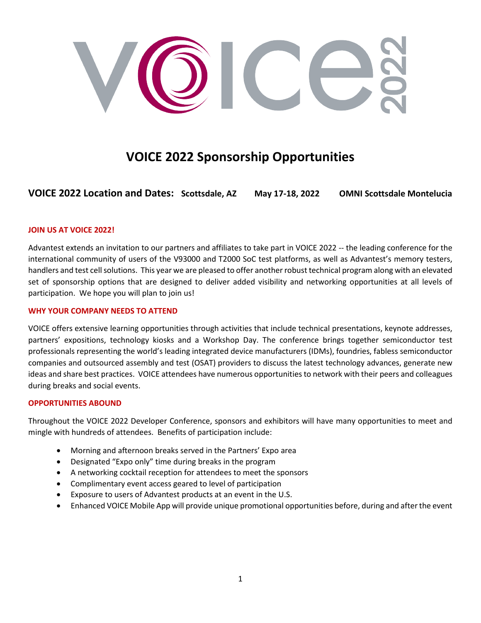

# **VOICE 2022 Sponsorship Opportunities**

**VOICE 2022 Location and Dates: Scottsdale, AZ May 17-18, 2022 OMNI Scottsdale Montelucia**

# **JOIN US AT VOICE 2022!**

Advantest extends an invitation to our partners and affiliates to take part in VOICE 2022 -- the leading conference for the international community of users of the V93000 and T2000 SoC test platforms, as well as Advantest's memory testers, handlers and test cell solutions. This year we are pleased to offer another robust technical program along with an elevated set of sponsorship options that are designed to deliver added visibility and networking opportunities at all levels of participation. We hope you will plan to join us!

### **WHY YOUR COMPANY NEEDS TO ATTEND**

VOICE offers extensive learning opportunities through activities that include technical presentations, keynote addresses, partners' expositions, technology kiosks and a Workshop Day. The conference brings together semiconductor test professionals representing the world's leading integrated device manufacturers (IDMs), foundries, fabless semiconductor companies and outsourced assembly and test (OSAT) providers to discuss the latest technology advances, generate new ideas and share best practices. VOICE attendees have numerous opportunities to network with their peers and colleagues during breaks and social events.

### **OPPORTUNITIES ABOUND**

Throughout the VOICE 2022 Developer Conference, sponsors and exhibitors will have many opportunities to meet and mingle with hundreds of attendees. Benefits of participation include:

- Morning and afternoon breaks served in the Partners' Expo area
- Designated "Expo only" time during breaks in the program
- A networking cocktail reception for attendees to meet the sponsors
- Complimentary event access geared to level of participation
- Exposure to users of Advantest products at an event in the U.S.
- Enhanced VOICE Mobile App will provide unique promotional opportunities before, during and after the event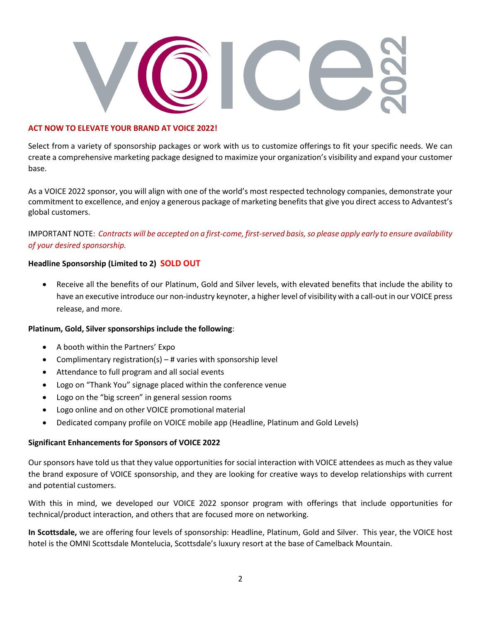

### **ACT NOW TO ELEVATE YOUR BRAND AT VOICE 2022!**

Select from a variety of sponsorship packages or work with us to customize offerings to fit your specific needs. We can create a comprehensive marketing package designed to maximize your organization's visibility and expand your customer base.

As a VOICE 2022 sponsor, you will align with one of the world's most respected technology companies, demonstrate your commitment to excellence, and enjoy a generous package of marketing benefits that give you direct access to Advantest's global customers.

IMPORTANT NOTE: *Contracts will be accepted on a first-come, first-served basis, so please apply early to ensure availability of your desired sponsorship.* 

# **Headline Sponsorship (Limited to 2) SOLD OUT**

• Receive all the benefits of our Platinum, Gold and Silver levels, with elevated benefits that include the ability to have an executive introduce our non-industry keynoter, a higher level of visibility with a call-out in our VOICE press release, and more.

# **Platinum, Gold, Silver sponsorships include the following**:

- A booth within the Partners' Expo
- Complimentary registration(s)  $-$  # varies with sponsorship level
- Attendance to full program and all social events
- Logo on "Thank You" signage placed within the conference venue
- Logo on the "big screen" in general session rooms
- Logo online and on other VOICE promotional material
- Dedicated company profile on VOICE mobile app (Headline, Platinum and Gold Levels)

# **Significant Enhancements for Sponsors of VOICE 2022**

Our sponsors have told us that they value opportunities for social interaction with VOICE attendees as much as they value the brand exposure of VOICE sponsorship, and they are looking for creative ways to develop relationships with current and potential customers.

With this in mind, we developed our VOICE 2022 sponsor program with offerings that include opportunities for technical/product interaction, and others that are focused more on networking.

**In Scottsdale,** we are offering four levels of sponsorship: Headline, Platinum, Gold and Silver. This year, the VOICE host hotel is the OMNI Scottsdale Montelucia, Scottsdale's luxury resort at the base of Camelback Mountain.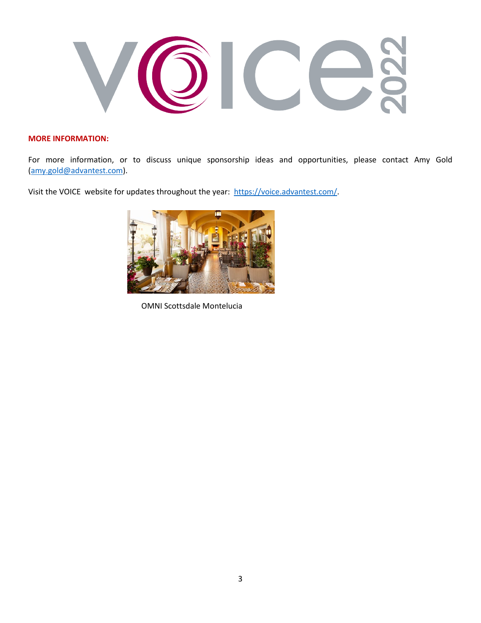

# **MORE INFORMATION:**

For more information, or to discuss unique sponsorship ideas and opportunities, please contact Amy Gold [\(amy.gold@advantest.com\)](mailto:amy.gold@advantest.com).

Visit the VOICE website for updates throughout the year: [https://voice.advantest.com/.](https://voice.advantest.com/)



OMNI Scottsdale Montelucia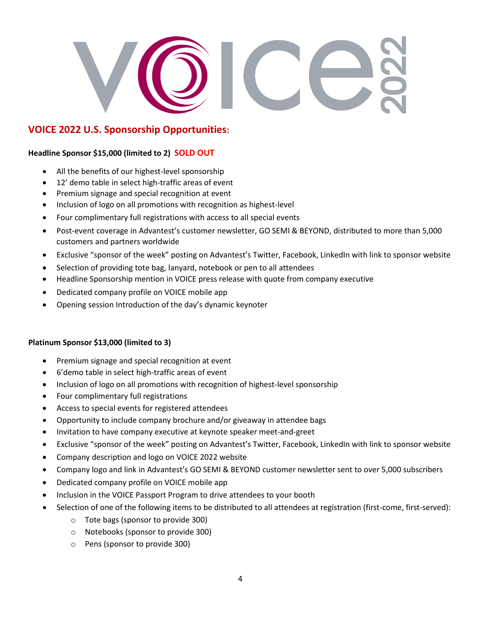# **VOICE 2022 U.S. Sponsorship Opportunities:**

# **Headline Sponsor \$15,000 (limited to 2) SOLD OUT**

- All the benefits of our highest-level sponsorship
- 12' demo table in select high-traffic areas of event
- Premium signage and special recognition at event
- Inclusion of logo on all promotions with recognition as highest-level
- Four complimentary full registrations with access to all special events
- Post-event coverage in Advantest's customer newsletter, GO SEMI & BEYOND, distributed to more than 5,000 customers and partners worldwide
- Exclusive "sponsor of the week" posting on Advantest's Twitter, Facebook, LinkedIn with link to sponsor website
- Selection of providing tote bag, lanyard, notebook or pen to all attendees
- Headline Sponsorship mention in VOICE press release with quote from company executive
- Dedicated company profile on VOICE mobile app
- Opening session Introduction of the day's dynamic keynoter

# **Platinum Sponsor \$13,000 (limited to 3)**

- Premium signage and special recognition at event
- 6'demo table in select high-traffic areas of event
- Inclusion of logo on all promotions with recognition of highest-level sponsorship
- Four complimentary full registrations
- Access to special events for registered attendees
- Opportunity to include company brochure and/or giveaway in attendee bags
- Invitation to have company executive at keynote speaker meet-and-greet
- Exclusive "sponsor of the week" posting on Advantest's Twitter, Facebook, LinkedIn with link to sponsor website
- Company description and logo on VOICE 2022 website
- Company logo and link in Advantest's GO SEMI & BEYOND customer newsletter sent to over 5,000 subscribers
- Dedicated company profile on VOICE mobile app
- Inclusion in the VOICE Passport Program to drive attendees to your booth
- Selection of one of the following items to be distributed to all attendees at registration (first-come, first-served):
	- o Tote bags (sponsor to provide 300)
	- o Notebooks (sponsor to provide 300)
	- o Pens (sponsor to provide 300)